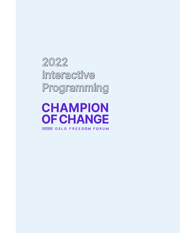2022 Interactive Programming

**CHAMPION OF CHANGE ENSIMERTY ON STATE DOM FORUM**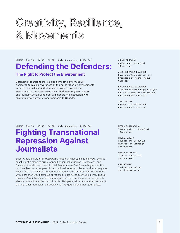# Creativity, Resilience, & Movements

MONDAY, MAY 23 • 14:30 - 15:20 • Oslo Konserthus, Lille Sal

### Defending the Defenders:

### The Right to Protect the Environment

Defending the Defenders is a global impact platform at OFF dedicated to raising awareness of the perils faced by environmental activists, journalists, and others who work to protect the environment in countries ruled by authoritarian regimes. Author and journalist Anjan Sundaram will moderate a discussion with environmental activists from Cambodia to Uganda.

ANJAN SUNDARAM Author and journalist (Moderator)

ALEX GONZALEZ DAVIDSON Environmental activist and President of Mother Nature Cambodia

MÓNICA LÓPEZ BALTONADO Nicaraguan human rights lawyer and environmental activistand environmental activist

JOHN UNZIMA Ugandan journalist and environmental activist

MONDAY, MAY 23 • 15:40 - 16:20 • Oslo Konserthus, Lille Sal

## Fighting Transnational Repression Against **Journalists**

Saudi Arabia's murder of Washington Post journalist Jamal Khashoggi, Belarus' hijacking of a plane to arrest opposition journalist Roman Protasevich, and Rwanda's forceful rendition of Hotel Rwanda hero Paul Rusesabagina are the most well-known examples of transnational repression by authoritarian regimes. They are part of a larger trend documented in a recent Freedom House report with more than 600 examples of regimes (most notoriously China, Iran, Russia, Rwanda, Saudi Arabia, and Turkey) aggressively reaching across the globe to silence or intimidate dissidents in exile. This panel will examine the practice of transnational repression, particularly as it targets independent journalists.

MEGHA RAJAGOPALAN Investigative journalist (Moderator)

RUSHAN ABBAS Founder and Executive Director of Campaign for Uyghurs

MASIH ALINEJAD Iranian journalist and activist

CAN DÜNDAR Turkish journalist and documentarian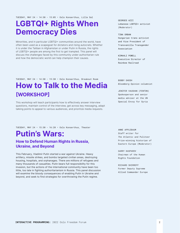TUESDAY, MAY 24 • 14:30 - 15:05 • Oslo Konserthus, Lille Sal

### LGBTQI+ Rights When Democracy Dies

Minorities, and in particular LGBTQI+ communities around the world, have often been used as a scapegoat for dictators and rising autocrats. Whether it is under the Taliban in Afghanistan or under Putin in Russia, the rights of LGBTQI+ people are among the first to get trampled. This panel will discuss the challenges faced by this community under authoritarian rule and how the democratic world can help champion their causes.

GEORGES AZZI Lebanese LGBTQI+ activist (Moderator)

#### TINA ORBAN

Hungarian trans activist and Vice President of Transvanilla Transgender Association

KIMAHLI POWELL Executive Director of Rainbow Railroad

TUESDAY, MAY 24 • 14:30 - 15:30 • Oslo Konserthus, Breakout Room

### How to Talk to the Media [WORKSHOP]

This workshop will teach participants how to effectively answer interview questions, maintain control of the interview, get across key messaging, adapt talking points to appeal to various audiences, and prioritize media requests.

TUESDAY, MAY 24 • 15:30 - 16:20 • Oslo Konserthus, Theater

### Putin's Wars:

### How to Defend Human Rights in Russia, Ukraine, and Beyond

This February, Vladimir Putin started a war against Ukraine. Heavy artillery, missile strikes, and bombs targeted civilian areas, destroying housing, hospitals, and orphanages. There are millions of refugees and many thousands of casualties. Putin bears full responsibility for this invasion, but the actions of the international community have been too little, too late in fighting authoritarianism in Russia. This panel discussion will examine the bloody consequences of enabling Putin in Ukraine and beyond, and seek to find strategies for overthrowing the Putin regime.

BOBBY GHOSH *Bloomberg Opinion* columnist

JENIFER VAUGHAN (FENTON) Spokesperson and senior media adviser at the UN Special Envoy for Syria

ANNE APPLEBAUM Staff writer for *The Atlantic* and Pulitzer Prize-winning historian of Eastern Europe (Moderator)

GARRY KASPAROV Chairman of the Human Rights Foundation

RICHARD SHIRREFF Former Deputy Supreme Allied Commander Europe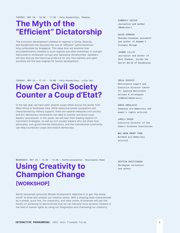TUESDAY, MAY 24 • 16:30 - 17:30 • Oslo Konserthus, Theater

### The Myth of the "Efficient" Dictatorship

The economic development credited to regimes in China, Rwanda, and Kazakhstan has elevated the lure of "efficient" authoritarianism long symbolized by Singapore. This deep dive will examine how accomplishments credited to such regimes are often overblown or outright fabricated to whitewash corrupt and repressive dictatorships. Speakers will also discuss the historical evidence for why free markets and open societies are the best engines for human development.

KIMBERLY DOZIER Journalist and author (Moderator)

DAVID HIMBARA Rwandan-Canadian economist and author of *Kagame's Economic Mirage*

JOANNA LILLIS Journalist and author of *Dark Shadows: Inside the Secret World of Kazakhstan*

TUESDAY, MAY 24 • 17:15 - 18:00 • Oslo Konserthus, Lille Sal

## How Can Civil Society Counter a Coup d'Etat?

In the last year, we have seen several coups d'état across the world, from West Africa to Southeast Asia. While executive power usurpations are characterized by military support, there are several measures civil society and pro-democracy movements can take to counter and block coup leaders' procedures. In this panel, we will hear from leading experts on nonviolent strategies, as well as civil society leaders who will share how advocates, non-governmental institutions, and the international community can help counteract coups and restore democracy.

SRDJA POPOVIĆ Nonviolence expert and Executive Director Center for Applied Nonviolent Actions & Strategies (CANVAS)(Moderator)

RANIA ABDULAZIZ Sudanese pro-democracy and women's rights activist

JAMTI A RAOTR Executive Director of the Albert Einstein Institution

WAI HNIN PWINT THON Burmese pro-democracy activist

#### WEDNESDAY, MAY 25 · 14:30 - 15:30 · Konferansesenter, Resilience Room

### Using Creativity to Champion Change [WORKSHOP]

World-renowned cartoonist Øistein Kristiansen's objective is to get "the whole world" to draw and unleash our creative selves. With a drawing style characterized by a simple, quick line, fun characters, and clear colors, Kristiansen will use this hands-on workshop to demonstrate how we can become more dynamic thinkers in the field of human rights by using our imagination and channeling our creativity.

ØISTEIN KRISTIANSEN Norwegian cartoonist and author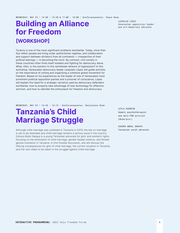### Building an Alliance for Freedom [WORKSHOP]

Tyranny is one of the most significant problems worldwide. Today, more than four billion people are living under authoritarian regimes, and collaboration and support between dictators from all continents — irrespective of their political leanings — is becoming the norm. By contrast, civil society in these countries often finds itself isolated and fighting for democracy alone. What, then, is the solution to this worldwide network of oppression? In this workshop, Venezuelan democracy leader Leopoldo López will guide activists on the importance of uniting and organizing a cohesive global movement for freedom. Based on his experiences as the leader of one of Venezuela's most prominent political opposition parties and a prisoner of conscience, López will explain the need for a strategic narrative used by democracy defenders worldwide, how to properly take advantage of new technology for effective activism, and how to rekindle the enthusiasm for freedom and democracy.

WEDNESDAY, MAY 25 · 15:45 - 16:15 · Konferansesenter, Resilience Room

## Tanzania's Child Marriage Struggle

Although child marriage was outlawed in Tanzania in 2019, the law on marriage is yet to be amended and child marriage remains a serious issue in the country. Zuhura Abdul Sakaya is a young Tanzanian advocate for girls' and women's rights, focusing on the elimination of child marriage, gender-based violence, and female genital mutilation in Tanzania. In this fireside discussion, she will discuss the lifelong consequences for girls of child marriage, the current situation in Tanzania, and the next steps to be taken in the struggle against child marriage.

LEYLA HUSSEIN Somali psychotherapist and anti-FGM activist (Moderator)

ZUHURA ABDUL SAKAYA Tanzanian youth advocate

LEOPOLDO LÓPEZ Venezuelan opposition leader and pro-democracy advocate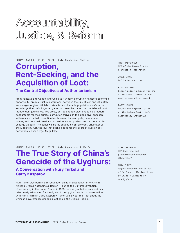# Accountability, Justice, & Reform

MONDAY, MAY 23 • 14:30 - 15:30 • Oslo Konserthus, Theater

## Corruption, Rent-Seeking, and the Acquisition of Loot:

### The Central Objectives of Authoritarianism

From Venezuela to Congo, and China to Hungary, corruption hampers economic opportunity, erodes trust in institutions, corrodes the rule of law, and ultimately encourages regime officials to steal from vulnerable populations, safe in the knowledge that their ill-gotten gains can never be traced. In countries without independent judiciaries, free press, or free and fair elections to hold leaders accountable for their crimes, corruption thrives. In this deep dive, speakers will examine the toll corruption has taken on human rights, democratic values, and personal freedoms, as well as ways by which we can combat this scourge globally. The panel will be introduced by Bill Browder, originator of the Magnitsky Act, the law that seeks justice for the killers of Russian anticorruption lawyer Sergei Magnitsky.

THOR HALVORSSEN CEO of the Human Rights Foundation (Moderator)

JOICE ETUTU *BBC* Senior reporter

#### PAUL MASSARO

Senior policy advisor for the US Helsinki Commission and counter-corruption expert

#### CASEY MICHEL

Author and adjunct fellow at the Hudson Institute's Kleptocracy Initiative

MONDAY, MAY 23 • 16:30 - 17:00 • Oslo Konserthus, Lille Sal

## The True Story of China's Genocide of the Uyghurs:

### A Conversation with Nury Turkel and Garry Kasparov

Nury Turkel was born in a re-education camp in East Turkistan — China's Xinjiang Uyghur Autonomous Region — during the Cultural Revolution. Upon arriving in the United States in 1995, he was granted asylum and has relentlessly advocated for the rights of the Uyghur people. In conversation with HRF Chairman Garry Kasparov, Turkel will lay out the truth about the Chinese government's genocidal actions in the Uyghur Region.

GARRY KASPAROV HRF Chairman and pro-democracy advocate (Moderator)

#### NURY TURKEL Uyghur advocate and author of *No Escape: The True Story of China's Genocide of the Uyghurs*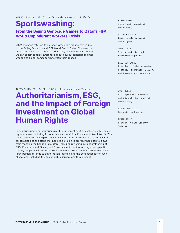MONDAY, MAY 23 • 17:10 - 18:00 • Oslo Konserthus, Lille Sal

## Sportswashing:

### From the Beijing Genocide Games to Qatar's FIFA World Cup Migrant Workers' Crisis

2022 has been referred to as "sportswashing's biggest year," due to the Beijing Olympics and FIFA World Cup in Qatar. This session will share behind-the-scenes stories, tips, and know-hows on how we can all join to raise awareness about how authoritarian regimes weaponize global games to whitewash their abuses.

KARIM ZIDAN Author and journalist (Moderator)

MALCOLM BIDALI Labor rights activist and blogger

CHEMI LHAMO Tibetan activist and community organizer

LISE KLAVENESS President of the Norwegian Football Federation, lawyer, and human rights advocate

TUESDAY, MAY 24 • 14:30 - 15:10 • Oslo Konserthus, Theater

## Authoritarianism, ESG, and the Impact of Foreign Investment on Global Human Rights

In countries under authoritarian rule, foreign investment has helped enable human rights abusers, including in countries such as China, Russia, and Saudi Arabia. This panel discussion will explore why it is important for stakeholders to not invest in autocracies and the steps that need to be taken to prevent these capital flows from reaching the hands of dictators, including revisiting our understanding of ESG (Environmental, Social, and Governance) investing. Among other specific issues, the panel will address how investment tools such as EM ETFs allocate a large portion of funds to authoritarian regimes, and the consequences of such allocations, including the human rights implications they present.

JOSH ROGIN *Washington Post* columnist and *CNN* political analyst (Moderator)

MARCOS BUSCAGLIA Economist and author

PERTH TOLLE Founder of Life+Liberty Indexes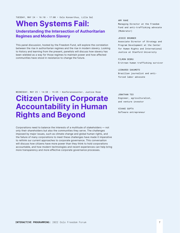TUESDAY, MAY 24 • 16:10 - 17:00 • Oslo Konserthus, Lille Sal

## When Systems Fail:

### Understanding the Intersection of Authoritarian Regimes and Modern Slavery

This panel discussion, hosted by the Freedom Fund, will explore the correlation between the rise in authoritarian regimes and the rise in modern slavery. Looking to history and learning from the present, panelists will discuss how slavery has been wielded as a way for those regimes to maintain power and how affected communities have stood in resistance to change the future.

#### AMY RAHE

Managing Director at the Freedom Fund and anti-trafficking advocate (Moderator)

#### JESSIE BRUNNER

Associate Director of Strategy and Program Development at the Center for Human Rights and International Justice at Stanford University

#### FILMON DEBRU

Eritrean human trafficking survivor

#### LEONARDO SAKAMOTO Brazilian journalist and antiforced labor advocate

WEDNESDAY, MAY 25 · 14:30 - 15:05 · Konferansesenter, Justice Room

## Citizen Driven Corporate Accountability in Human Rights and Beyond

Corporations need to balance the interests of a multitude of stakeholders — not only their shareholders but also the communities they serve. The challenges imposed by major issues, such as climate change and global human rights, and the failure of many corporations to meet these challenges have made it imperative to rethink our current approaches to corporate governance. This conversation will discuss how citizens have more power than they think to hold corporations accountable, and how modern technologies and recent experiences can help bring more transparency and more effective corporate governance processes.

JONATHAN TEO Engineer, agriculturalist, and venture investor

VIVAKE GUPTA Software entrepreneur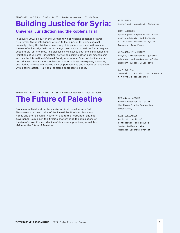WEDNESDAY, MAY 25 · 15:00 - 16:00 · Konferansesenter, Truth Room

### Building Justice for Syria: Universal Jurisdiction and the Koblenz Trial

In January 2022, a court in the German town of Koblenz sentenced Anwar R., a former Syrian intelligence officer, to life in prison for crimes against humanity. Using this trial as a case study, this panel discussion will examine the use of universal jurisdiction as a legal mechanism to hold the Syrian regime accountable for its crimes. The discussion will assess both the significance and limitations of universal jurisdiction, as well as examine other legal mechanisms such as the International Criminal Court, International Court of Justice, and ad hoc criminal tribunals and special courts. International law experts, survivors, and victims' families will provide diverse perspectives and present our audience with a call to action — a victim-centered approach to justice.

#### ALIA MALEK Author and journalist (Moderator)

#### OMAR ALSHOGRE

Syrian public speaker and human rights advocate, and Director of Detainee Affairs at Syrian Emergency Task Force

#### ALEXANDRA LILY KATHER Lawyer, intersectional justice advocate, and co-founder of the Emergent Justice Collective

WAFA MUSTAFA Journalist, activist, and advocate for Syria's disappeared

### The Future of Palestine WEDNESDAY, MAY 25 · 17:00 - 17:35 · Konferansesenter, Justice Room

Prominent activist and public speaker on Arab-Israeli affairs Fadi Elsalameen is a known critic of the Palestinian President Mahmoud Abbas and the Palestinian Authority, due to their corruption and bad governance. Join him in this fireside chat covering the implications of the rise of corruption and decline of democratic practices, as well his vision for the future of Palestine.

BETHANY ALHAIDARI Senior research fellow at the Human Rights Foundation (Moderator)

#### FADI ELSALAMEEN

Activist, political commentator, and adjunct Senior Fellow at the American Security Project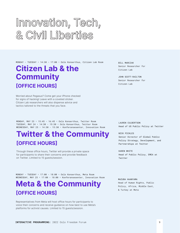# Innovation, Tech, & Civil Liberties

MONDAY - TUESDAY • 14:30 - 17:00 • Oslo Konserthus, Citizen Lab Room

### Citizen Lab & the **Community** [OFFICE HOURS]

Worried about Pegasus? Come get your iPhone checked for signs of hacking! Leave with a coveted sticker. Citizen Lab researchers will also dispense advice and tactics tailored to the threats that you face.

MONDAY, MAY 23 • 15:45 - 16:45 • Oslo Konserthus, Twitter Room TUESDAY, MAY 24 • 14:30 - 15:30 • Oslo Konserthus, Twitter Room WEDNESDAY, MAY 25 • 14:30 - 15:30 • Konferansesenter, Innovation Room

## Twitter & the Community [OFFICE HOURS]

Through these office hours, Twitter will provide a private space for participants to share their concerns and provide feedback on Twitter. Limited to 15 guests/session.

MONDAY - TUESDAY • 17:00 - 18:00 • Oslo Konserthus, Meta Room WEDNESDAY, MAY 25 · 17:00 - 18:00 · Konferansesenter, Innovation Room

## Meta & the Community [OFFICE HOURS]

Representatives from Meta will host office hours for participants to voice their concerns and receive guidance on how best to use Meta's platforms for activist causes. Limited to 15 guests/session.

BILL MARCZAK Senior Researcher for Citizen Lab

JOHN SCOTT-RAILTON Senior Researcher for Citizen Lab

LAUREN CULBERTSON Head of US Public Policy at Twitter

NICK PICKLES Senior Director of Global Public Policy Strategy, Development, and Partnerships at Twitter

KAREN WHITE Head of Public Policy, EMEA at Twitter

MAZUBA HAANYAMA Head of Human Rights, Public Policy, Africa, Middle East, & Turkey at Meta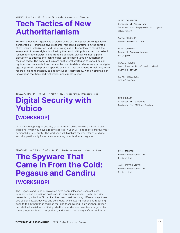MONDAY, MAY 23 • 17:10 - 18:00 • Oslo Konserthus, Theater

### Tech Tactics of New Authoritarianism

For over a decade, Jigsaw has explored some of the biggest challenges facing democracies — shrinking civil discourse, rampant disinformation, the spread of extremism, polarization, and the growing use of technology to restrict the enjoyment of human rights. Inspired by their work with policy experts, academic researchers, technologists, and frontline activists, Jigsaw will host a panel discussion to address the technological tactics being used by authoritarian regimes today. The panel will explore multilateral strategies to uphold human rights and recommendations that can be used to defend democracy in the digital age. Jigsaw will also present specific examples that demonstrate their long track record of using technology to directly support democracy, with an emphasis on innovations that have had real world, measurable impact.

Director of Policy and International Engagement at Jigsaw (Moderator)

YAFFA FREDRICK Senior Editor at *CNN*

SCOTT CARPENTER

BETH GOLDBERG Research Program Manager at Jigsaw

GLACIER KWONG Hong Kong political and digital rights activist

RAFAL ROHOZINSKI CEO of SecDev

TUESDAY, MAY 24 • 16:00 - 17:00 • Oslo Konserthus, Breakout Room

## Digital Security with Yubico [WORKSHOP]

In this workshop, digital security experts from Yubico will explain how to use Yubikeys (which you have already received in your OFF gift bag) to improve your personal digital security. The workshop will highlight the importance of digital security, particularly for activists operating in authoritarian regimes.

WEDNESDAY, MAY 25 • 15:45 - 16:45 • Konferansesenter, Justice Room

### The Spyware That Came in From the Cold: Pegasus and Candiru [WORKSHOP]

The Pegasus and Candiru spywares have been unleashed upon activists, journalists, and opposition politicians in increasing numbers. Digital security research organization Citizen Lab has unearthed the many different ways these two exploits attack devices and steal data, while staying hidden and reporting back to the authoritarian regimes that use them. During this workshop, Citizen Lab staff will assist in identifying whether your devices have been targeted by these programs, how to purge them, and what to do to stay safe in the future.

PER ERNGÅRD Director of Solutions Engineer for EMEA at Yubico

BILL MARCZAK Senior Researcher for Citizen Lab

JOHN SCOTT-RAILTON Senior Researcher for Citizen Lab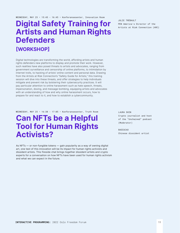## Digital Safety Training for Artists and Human Rights **Defenders** [WORKSHOP]

Digital technologies are transforming the world, affording artists and human rights defenders new platforms to display and promote their work. However, such realities have also posed threats to artists and advocates, ranging from government surveillance and censorship of online platforms, to intimidation by internet trolls, to hacking of artists' online content and personal data. Drawing from the Artists at Risk Connection's "Safety Guide for Artists," this training session will dive into these threats, and offer strategies to help individuals mitigate and prevent risk by bolstering their cybersecurity practices. It will pay particular attention to online harassment such as hate speech, threats, impersonation, doxing, and message bombing, equipping artists and advocates with an understanding of how and why online harassment occurs, how to prepare for and react to it, and how to establish a cybercommunity.

WEDNESDAY, MAY 25 · 16:30 - 17:05 · Konferansesenter, Truth Room

### Can NFTs be a Helpful Tool for Human Rights Activists?

As NFTs — or non-fungible tokens — gain popularity as a way of owning digital art, one test of this innovation will be its impact for human rights activists and dissident artists. This fireside chat brings together dissident artists and crypto experts for a conversation on how NFTs have been used for human rights activism and what we can expect in the future.

JULIE TRÉBAULT PEN America's Director of the Artists at Risk Connection (ARC)

LAURA SHTN Crypto journalist and host of the "Unchained" podcast (Moderator)

**BADTUCAO** Chinese dissident artist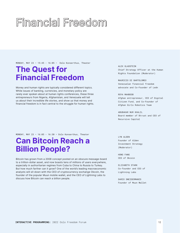# Financial Freedom

MONDAY, MAY 23 • 15:45 - 16:05 • Oslo Konserthus, Theater

## The Quest for Financial Freedom

Money and human rights are typically considered different topics. While issues of banking, currencies, and monetary policy are rarely ever spoken about at human rights conferences, these three entrepreneurs from Nigeria, Afghanistan, and Venezuela will tell us about their incredible life stories, and show us that money and financial freedom is in fact central to the struggle for human rights.

MONDAY, MAY 23 • 16:05 - 16:30 • Oslo Konserthus, Theater

## Can Bitcoin Reach a Billion People?

Bitcoin has grown from a 2008 concept posted on an obscure message-board to a trillion-dollar asset, and now boasts tens of millions of users everywhere, especially in authoritarian regimes from Cuba to China to Russia to Turkey. But how much farther can it grow? One of the world's leading macroeconomic analysts will sit down with the CEO of cryptocurrency exchange Okcoin, the founder of the popular Muun mobile wallet, and the CEO of Lightning Labs to discuss how Bitcoin can reach a billion people.

ALEX GLADSTEIN Chief Strategy Officer at the Human Rights Foundation (Moderator)

MAURICIO DI BARTOLOMEO Venezuelan financial freedom advocate and Co-Founder of Ledn

#### ROYA MAHBOOB

Afghan entrepreneur, CEO of Digital Citizen Fund, and Co-Founder of Afghan Girls Robotics Team

ABUBAKAR NUR KHALIL Board member of Btrust and CEO of Recursive Capital

LYN ALDEN Founder of Alden Investment Strategy (Moderator)

HONG FANG CEO of Okcoin

ELIZABETH STARK Co-founder and CEO of Lightning Labs

DARIO SNEIDERMANIS Founder of Muun Wallet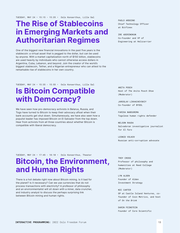## The Rise of Stablecoins in Emerging Markets and Authoritarian Regimes

One of the biggest new financial innovations in the past five years is the stablecoin: a virtual asset that is pegged to the dollar, but can be used by anyone. With a market capitalization north of \$150 billion, stablecoins are used heavily by individuals who cannot otherwise access dollars in Argentina, Cuba, Lebanon, and beyond. Join the creator of the world's biggest stablecoin, Tether, and a Nigerian entrepreneur who can attest to the remarkable rise of stablecoins in her own country.

TUESDAY, MAY 24 • 15:35 - 15:55 • Oslo Konserthus, Lille Sal

## Is Bitcoin Compatible with Democracy?

We have seen how pro-democracy activists in Belarus, Russia, and Togo have turned to Bitcoin to keep their advocacy afloat when their bank accounts get shut down. Simultaneously, we have also seen how a populist leader has imposed Bitcoin on El Salvador from the top down. Hear from activists from all three countries about whether Bitcoin is compatible with liberal democracy.

PAOLO ARDOINO Chief Technology Officer at Bitfinex

IRE ADERINOKUN Co-Founder and VP of Engineering at Helicarrier

ANITA POSCH Host of *The Anita Posch Show*  (Moderator)

JAROSLAV LIKHACHEVSKIY Co-founder of BYSOL

FARIDA NABOUREMA Togolese human rights defender

NELSON RAUDA Salvadoran investigative journalist for *El Faro*

LEONID VOLKOV Russian anti-corruption advocate

TUESDAY, MAY 24 • 17:45 - 18:10 • Oslo Konserthus, Theater

## Bitcoin, the Environment, and Human Rights

There is a hot debate right now about Bitcoin mining. Is it bad for the planet? Is it necessary? Can we use currencies that do not process transactions with electricity? A professor of philosophy and an environmentalist will sit down with a miner, data cruncher, and industry analyst to discuss the perhaps surprising link between Bitcoin mining and human rights.

TROY CROSS Professor of philosophy and humanities at Reed College (Moderator)

LYN ALDEN Founder of Alden Investment Strategy

#### NIC CARTER

GP at Castle Island Ventures, cofounder of Coin Metrics, and host of *On the Brink*

DARIN FEINSTEIN Founder of Core Scientific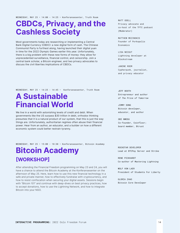WEDNESDAY, MAY 25  $\cdot$  14:00 - 14:25  $\cdot$  Konferansesenter, Truth Room

## CBDCs, Privacy, and the Cashless Society

Most governments today are researching or implementing a Central Bank Digital Currency (CBDC): a new digital form of cash. The Chinese Communist Party is furthest along, having launched their digital yuan in time for the 2022 Olympic Games earlier this year. Unfortunately, there is a big problem with these new forms of money: they allow for unprecedented surveillance, financial control, and censorship. Join a central bank scholar, a Bitcoin engineer, and two privacy advocates to discuss the civil liberties implications of CBDCs.

MATT ODELL Privacy advocate and co-host of the TFTC podcast (Moderator)

MATTHEW MEZINSKIS Founder of Porkopolis Economics

**LISA NETGUT** Lightning developer at Blockstream

JANINE ROEM Cypherpunk, journalist, and privacy educator

WEDNESDAY, MAY 25 · 14:25 - 14:45 · Konferansesenter, Truth Room

## A Sustainable Financial World

We live in a world with astonishing levels of credit and debt. When governments like the US surpass \$30 trillion in debt, orthodox thinking presumes that it is a natural product of our system, that this is just the way things are. Unfortunately, authoritarian regimes often abuse their financial power. Hear from an author, an educator, and a builder on how a different economic system could better restrain tyranny.

JEFF BOOTH Entrepreneur and author of *The Price of Tomorrow*

JIMMY SONG Bitcoin developer, educator, and author

OBI NWOSU Co-founder, Coinfloor; board member, Btrust

WEDNESDAY, MAY 25 · 15:00 - 18:30 · Konferansesenter, Bitcoin Academy

### Bitcoin Academy [WORKSHOP]

After attending the Financial Freedom programming on May 23 and 24, you will have a chance to attend the Bitcoin Academy at the Konferansesenter on the afternoon of May 25. Here, learn how to use this new financial technology in a safe and private manner, how to effectively fundraise with cryptocurrency, and how to resist confiscation when securing your digital assets. Sessions begin with "Bitcoin 101" and continue with deep-dives on best privacy practices, how to accept donations, how to use the Lightning Network, and how to integrate Bitcoin into your NGO.

ROCKSTAR DEVELOPER Lead at BTCPay Server and Strike

RENE PICKHARDT Co-author of *Mastering Lightning*

WOLF VON LAFR President of Students For Liberty

GLORIA ZHAO Bitcoin Core Developer